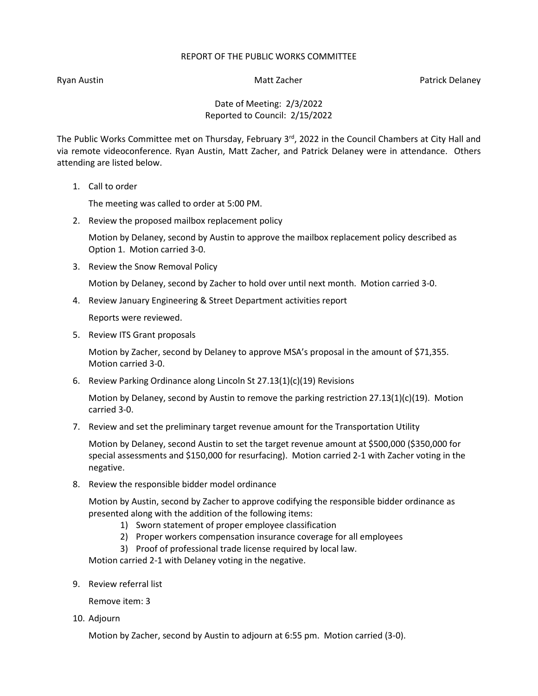## REPORT OF THE PUBLIC WORKS COMMITTEE

Ryan Austin Nation Matt Zacher Patrick Delaney National Australian Matt Zacher Patrick Delaney

Date of Meeting: 2/3/2022 Reported to Council: 2/15/2022

The Public Works Committee met on Thursday, February  $3<sup>rd</sup>$ , 2022 in the Council Chambers at City Hall and via remote videoconference. Ryan Austin, Matt Zacher, and Patrick Delaney were in attendance. Others attending are listed below.

1. Call to order

The meeting was called to order at 5:00 PM.

2. Review the proposed mailbox replacement policy

Motion by Delaney, second by Austin to approve the mailbox replacement policy described as Option 1. Motion carried 3-0.

3. Review the Snow Removal Policy

Motion by Delaney, second by Zacher to hold over until next month. Motion carried 3-0.

4. Review January Engineering & Street Department activities report

Reports were reviewed.

5. Review ITS Grant proposals

Motion by Zacher, second by Delaney to approve MSA's proposal in the amount of \$71,355. Motion carried 3-0.

6. Review Parking Ordinance along Lincoln St 27.13(1)(c)(19) Revisions

Motion by Delaney, second by Austin to remove the parking restriction  $27.13(1)(c)(19)$ . Motion carried 3-0.

7. Review and set the preliminary target revenue amount for the Transportation Utility

Motion by Delaney, second Austin to set the target revenue amount at \$500,000 (\$350,000 for special assessments and \$150,000 for resurfacing). Motion carried 2-1 with Zacher voting in the negative.

8. Review the responsible bidder model ordinance

Motion by Austin, second by Zacher to approve codifying the responsible bidder ordinance as presented along with the addition of the following items:

- 1) Sworn statement of proper employee classification
- 2) Proper workers compensation insurance coverage for all employees
- 3) Proof of professional trade license required by local law.

Motion carried 2-1 with Delaney voting in the negative.

9. Review referral list

Remove item: 3

10. Adjourn

Motion by Zacher, second by Austin to adjourn at 6:55 pm. Motion carried (3-0).